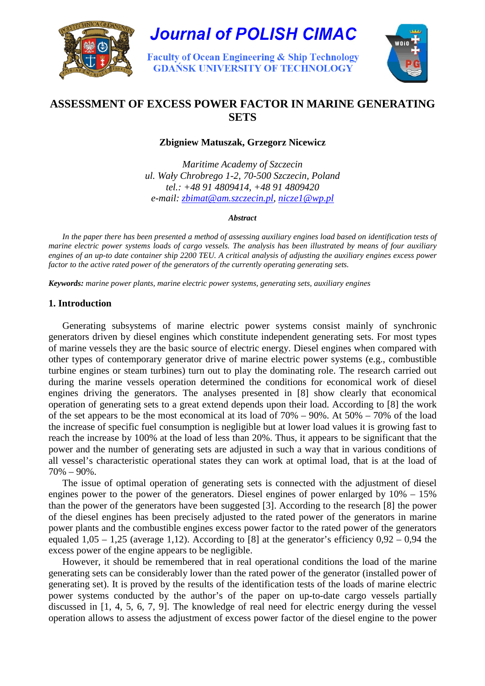

**Journal of POLISH CIMAC** 

**Faculty of Ocean Engineering & Ship Technology GDANSK UNIVERSITY OF TECHNOLOGY** 



# **ASSESSMENT OF EXCESS POWER FACTOR IN MARINE GENERATING SETS**

# **Zbigniew Matuszak, Grzegorz Nicewicz**

*Maritime Academy of Szczecin ul. Wały Chrobrego 1-2, 70-500 Szczecin, Poland tel.: +48 91 4809414, +48 91 4809420 e-mail: zbimat@am.szczecin.pl, nicze1@wp.pl*

*Abstract* 

In the paper there has been presented a method of assessing auxiliary engines load based on identification tests of *marine electric power systems loads of cargo vessels. The analysis has been illustrated by means of four auxiliary engines of an up-to date container ship 2200 TEU. A critical analysis of adjusting the auxiliary engines excess power factor to the active rated power of the generators of the currently operating generating sets.* 

*Keywords: marine power plants, marine electric power systems, generating sets, auxiliary engines* 

#### **1. Introduction**

Generating subsystems of marine electric power systems consist mainly of synchronic generators driven by diesel engines which constitute independent generating sets. For most types of marine vessels they are the basic source of electric energy. Diesel engines when compared with other types of contemporary generator drive of marine electric power systems (e.g., combustible turbine engines or steam turbines) turn out to play the dominating role. The research carried out during the marine vessels operation determined the conditions for economical work of diesel engines driving the generators. The analyses presented in [8] show clearly that economical operation of generating sets to a great extend depends upon their load. According to [8] the work of the set appears to be the most economical at its load of 70% – 90%. At 50% – 70% of the load the increase of specific fuel consumption is negligible but at lower load values it is growing fast to reach the increase by 100% at the load of less than 20%. Thus, it appears to be significant that the power and the number of generating sets are adjusted in such a way that in various conditions of all vessel's characteristic operational states they can work at optimal load, that is at the load of 70% – 90%.

The issue of optimal operation of generating sets is connected with the adjustment of diesel engines power to the power of the generators. Diesel engines of power enlarged by 10% – 15% than the power of the generators have been suggested [3]. According to the research [8] the power of the diesel engines has been precisely adjusted to the rated power of the generators in marine power plants and the combustible engines excess power factor to the rated power of the generators equaled  $1,05 - 1,25$  (average 1,12). According to [8] at the generator's efficiency  $0.92 - 0.94$  the excess power of the engine appears to be negligible.

However, it should be remembered that in real operational conditions the load of the marine generating sets can be considerably lower than the rated power of the generator (installed power of generating set). It is proved by the results of the identification tests of the loads of marine electric power systems conducted by the author's of the paper on up-to-date cargo vessels partially discussed in [1, 4, 5, 6, 7, 9]. The knowledge of real need for electric energy during the vessel operation allows to assess the adjustment of excess power factor of the diesel engine to the power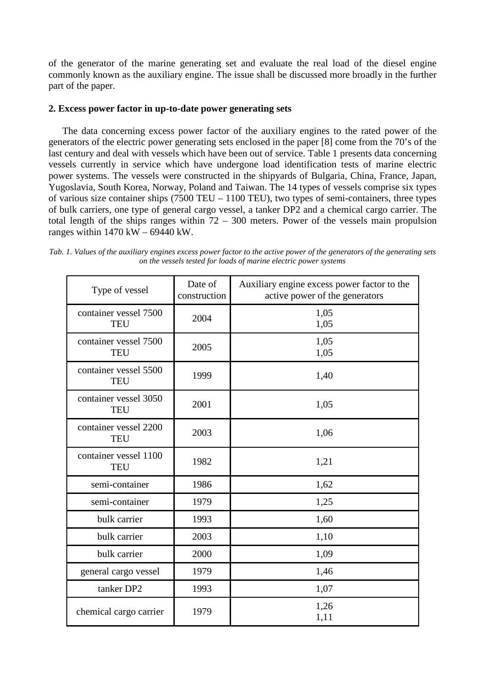of the generator of the marine generating set and evaluate the real load of the diesel engine commonly known as the auxiliary engine. The issue shall be discussed more broadly in the further part of the paper.

# **2. Excess power factor in up-to-date power generating sets**

The data concerning excess power factor of the auxiliary engines to the rated power of the generators of the electric power generating sets enclosed in the paper [8] come from the 70's of the last century and deal with vessels which have been out of service. Table 1 presents data concerning vessels currently in service which have undergone load identification tests of marine electric power systems. The vessels were constructed in the shipyards of Bulgaria, China, France, Japan, Yugoslavia, South Korea, Norway, Poland and Taiwan. The 14 types of vessels comprise six types of various size container ships (7500 TEU – 1100 TEU), two types of semi-containers, three types of bulk carriers, one type of general cargo vessel, a tanker DP2 and a chemical cargo carrier. The total length of the ships ranges within  $72 - 300$  meters. Power of the vessels main propulsion ranges within 1470 kW – 69440 kW.

*Tab. 1. Values of the auxiliary engines excess power factor to the active power of the generators of the generating sets on the vessels tested for loads of marine electric power systems* 

| Type of vessel                      | Date of<br>construction | Auxiliary engine excess power factor to the<br>active power of the generators |
|-------------------------------------|-------------------------|-------------------------------------------------------------------------------|
| container vessel 7500<br><b>TEU</b> | 2004                    | 1,05<br>1,05                                                                  |
| container vessel 7500<br><b>TEU</b> | 2005                    | 1,05<br>1,05                                                                  |
| container vessel 5500<br><b>TEU</b> | 1999                    | 1,40                                                                          |
| container vessel 3050<br><b>TEU</b> | 2001                    | 1,05                                                                          |
| container vessel 2200<br><b>TEU</b> | 2003                    | 1,06                                                                          |
| container vessel 1100<br><b>TEU</b> | 1982                    | 1,21                                                                          |
| semi-container                      | 1986                    | 1,62                                                                          |
| semi-container                      | 1979                    | 1,25                                                                          |
| bulk carrier                        | 1993                    | 1,60                                                                          |
| bulk carrier                        | 2003                    | 1,10                                                                          |
| bulk carrier                        | 2000                    | 1,09                                                                          |
| general cargo vessel                | 1979                    | 1,46                                                                          |
| tanker DP2                          | 1993                    | 1,07                                                                          |
| chemical cargo carrier              | 1979                    | 1,26<br>1,11                                                                  |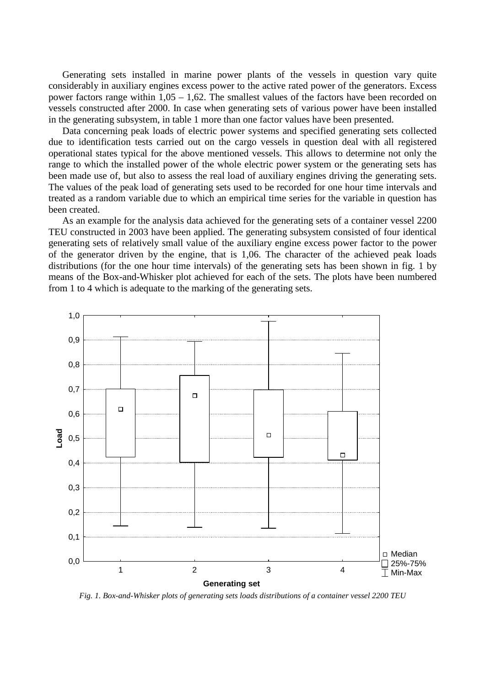Generating sets installed in marine power plants of the vessels in question vary quite considerably in auxiliary engines excess power to the active rated power of the generators. Excess power factors range within 1,05 – 1,62. The smallest values of the factors have been recorded on vessels constructed after 2000. In case when generating sets of various power have been installed in the generating subsystem, in table 1 more than one factor values have been presented.

Data concerning peak loads of electric power systems and specified generating sets collected due to identification tests carried out on the cargo vessels in question deal with all registered operational states typical for the above mentioned vessels. This allows to determine not only the range to which the installed power of the whole electric power system or the generating sets has been made use of, but also to assess the real load of auxiliary engines driving the generating sets. The values of the peak load of generating sets used to be recorded for one hour time intervals and treated as a random variable due to which an empirical time series for the variable in question has been created.

As an example for the analysis data achieved for the generating sets of a container vessel 2200 TEU constructed in 2003 have been applied. The generating subsystem consisted of four identical generating sets of relatively small value of the auxiliary engine excess power factor to the power of the generator driven by the engine, that is 1,06. The character of the achieved peak loads distributions (for the one hour time intervals) of the generating sets has been shown in fig. 1 by means of the Box-and-Whisker plot achieved for each of the sets. The plots have been numbered from 1 to 4 which is adequate to the marking of the generating sets.



*Fig. 1. Box-and-Whisker plots of generating sets loads distributions of a container vessel 2200 TEU*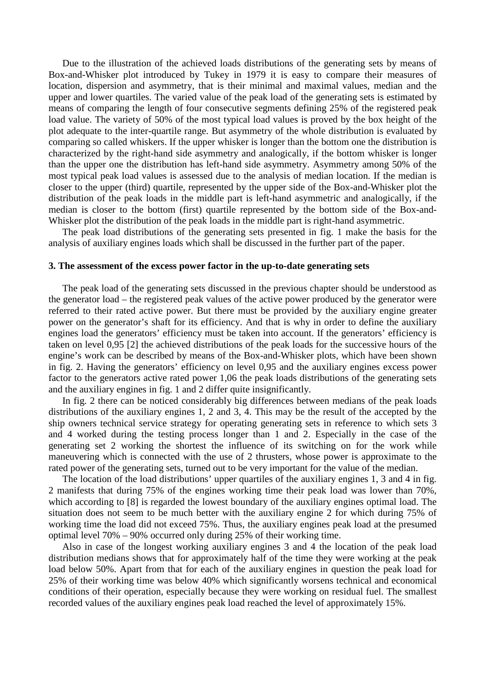Due to the illustration of the achieved loads distributions of the generating sets by means of Box-and-Whisker plot introduced by Tukey in 1979 it is easy to compare their measures of location, dispersion and asymmetry, that is their minimal and maximal values, median and the upper and lower quartiles. The varied value of the peak load of the generating sets is estimated by means of comparing the length of four consecutive segments defining 25% of the registered peak load value. The variety of 50% of the most typical load values is proved by the box height of the plot adequate to the inter-quartile range. But asymmetry of the whole distribution is evaluated by comparing so called whiskers. If the upper whisker is longer than the bottom one the distribution is characterized by the right-hand side asymmetry and analogically, if the bottom whisker is longer than the upper one the distribution has left-hand side asymmetry. Asymmetry among 50% of the most typical peak load values is assessed due to the analysis of median location. If the median is closer to the upper (third) quartile, represented by the upper side of the Box-and-Whisker plot the distribution of the peak loads in the middle part is left-hand asymmetric and analogically, if the median is closer to the bottom (first) quartile represented by the bottom side of the Box-and-Whisker plot the distribution of the peak loads in the middle part is right-hand asymmetric.

The peak load distributions of the generating sets presented in fig. 1 make the basis for the analysis of auxiliary engines loads which shall be discussed in the further part of the paper.

#### **3. The assessment of the excess power factor in the up-to-date generating sets**

The peak load of the generating sets discussed in the previous chapter should be understood as the generator load – the registered peak values of the active power produced by the generator were referred to their rated active power. But there must be provided by the auxiliary engine greater power on the generator's shaft for its efficiency. And that is why in order to define the auxiliary engines load the generators' efficiency must be taken into account. If the generators' efficiency is taken on level 0,95 [2] the achieved distributions of the peak loads for the successive hours of the engine's work can be described by means of the Box-and-Whisker plots, which have been shown in fig. 2. Having the generators' efficiency on level 0,95 and the auxiliary engines excess power factor to the generators active rated power 1,06 the peak loads distributions of the generating sets and the auxiliary engines in fig. 1 and 2 differ quite insignificantly.

In fig. 2 there can be noticed considerably big differences between medians of the peak loads distributions of the auxiliary engines 1, 2 and 3, 4. This may be the result of the accepted by the ship owners technical service strategy for operating generating sets in reference to which sets 3 and 4 worked during the testing process longer than 1 and 2. Especially in the case of the generating set 2 working the shortest the influence of its switching on for the work while maneuvering which is connected with the use of 2 thrusters, whose power is approximate to the rated power of the generating sets, turned out to be very important for the value of the median.

The location of the load distributions' upper quartiles of the auxiliary engines 1, 3 and 4 in fig. 2 manifests that during 75% of the engines working time their peak load was lower than 70%, which according to [8] is regarded the lowest boundary of the auxiliary engines optimal load. The situation does not seem to be much better with the auxiliary engine 2 for which during 75% of working time the load did not exceed 75%. Thus, the auxiliary engines peak load at the presumed optimal level 70% – 90% occurred only during 25% of their working time.

Also in case of the longest working auxiliary engines 3 and 4 the location of the peak load distribution medians shows that for approximately half of the time they were working at the peak load below 50%. Apart from that for each of the auxiliary engines in question the peak load for 25% of their working time was below 40% which significantly worsens technical and economical conditions of their operation, especially because they were working on residual fuel. The smallest recorded values of the auxiliary engines peak load reached the level of approximately 15%.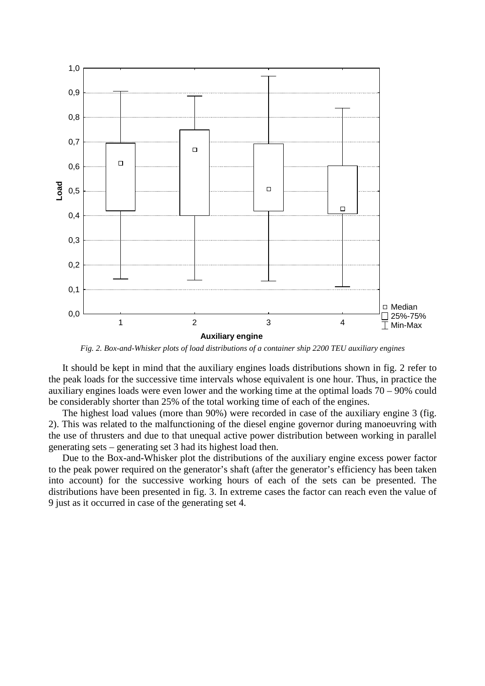

*Fig. 2. Box-and-Whisker plots of load distributions of a container ship 2200 TEU auxiliary engines* 

It should be kept in mind that the auxiliary engines loads distributions shown in fig. 2 refer to the peak loads for the successive time intervals whose equivalent is one hour. Thus, in practice the auxiliary engines loads were even lower and the working time at the optimal loads 70 – 90% could be considerably shorter than 25% of the total working time of each of the engines.

The highest load values (more than 90%) were recorded in case of the auxiliary engine 3 (fig. 2). This was related to the malfunctioning of the diesel engine governor during manoeuvring with the use of thrusters and due to that unequal active power distribution between working in parallel generating sets – generating set 3 had its highest load then.

Due to the Box-and-Whisker plot the distributions of the auxiliary engine excess power factor to the peak power required on the generator's shaft (after the generator's efficiency has been taken into account) for the successive working hours of each of the sets can be presented. The distributions have been presented in fig. 3. In extreme cases the factor can reach even the value of 9 just as it occurred in case of the generating set 4.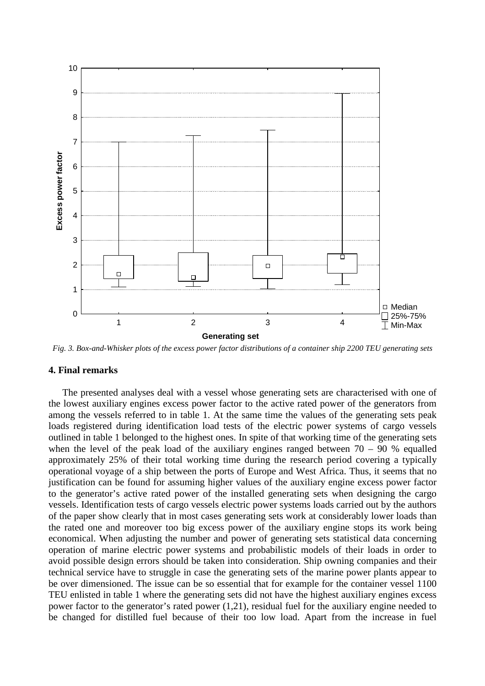

*Fig. 3. Box-and-Whisker plots of the excess power factor distributions of a container ship 2200 TEU generating sets*

### **4. Final remarks**

The presented analyses deal with a vessel whose generating sets are characterised with one of the lowest auxiliary engines excess power factor to the active rated power of the generators from among the vessels referred to in table 1. At the same time the values of the generating sets peak loads registered during identification load tests of the electric power systems of cargo vessels outlined in table 1 belonged to the highest ones. In spite of that working time of the generating sets when the level of the peak load of the auxiliary engines ranged between  $70 - 90$  % equalled approximately 25% of their total working time during the research period covering a typically operational voyage of a ship between the ports of Europe and West Africa. Thus, it seems that no justification can be found for assuming higher values of the auxiliary engine excess power factor to the generator's active rated power of the installed generating sets when designing the cargo vessels. Identification tests of cargo vessels electric power systems loads carried out by the authors of the paper show clearly that in most cases generating sets work at considerably lower loads than the rated one and moreover too big excess power of the auxiliary engine stops its work being economical. When adjusting the number and power of generating sets statistical data concerning operation of marine electric power systems and probabilistic models of their loads in order to avoid possible design errors should be taken into consideration. Ship owning companies and their technical service have to struggle in case the generating sets of the marine power plants appear to be over dimensioned. The issue can be so essential that for example for the container vessel 1100 TEU enlisted in table 1 where the generating sets did not have the highest auxiliary engines excess power factor to the generator's rated power (1,21), residual fuel for the auxiliary engine needed to be changed for distilled fuel because of their too low load. Apart from the increase in fuel